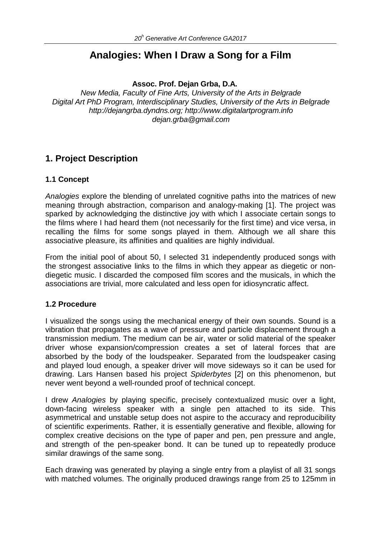# **Analogies: When I Draw a Song for a Film**

#### **Assoc. Prof. Dejan Grba, D.A.**

*New Media, Faculty of Fine Arts, University of the Arts in Belgrade Digital Art PhD Program, Interdisciplinary Studies, University of the Arts in Belgrade http://dejangrba.dyndns.org; http://www.digitalartprogram.info dejan.grba@gmail.com*

## **1. Project Description**

#### **1.1 Concept**

*Analogies* explore the blending of unrelated cognitive paths into the matrices of new meaning through abstraction, comparison and analogy-making [1]. The project was sparked by acknowledging the distinctive joy with which I associate certain songs to the films where I had heard them (not necessarily for the first time) and vice versa, in recalling the films for some songs played in them. Although we all share this associative pleasure, its affinities and qualities are highly individual.

From the initial pool of about 50, I selected 31 independently produced songs with the strongest associative links to the films in which they appear as diegetic or nondiegetic music. I discarded the composed film scores and the musicals, in which the associations are trivial, more calculated and less open for idiosyncratic affect.

#### **1.2 Procedure**

I visualized the songs using the mechanical energy of their own sounds. Sound is a vibration that propagates as a wave of pressure and particle displacement through a transmission medium. The medium can be air, water or solid material of the speaker driver whose expansion/compression creates a set of lateral forces that are absorbed by the body of the loudspeaker. Separated from the loudspeaker casing and played loud enough, a speaker driver will move sideways so it can be used for drawing. Lars Hansen based his project *Spiderbytes* [2] on this phenomenon, but never went beyond a well-rounded proof of technical concept.

I drew *Analogies* by playing specific, precisely contextualized music over a light, down-facing wireless speaker with a single pen attached to its side. This asymmetrical and unstable setup does not aspire to the accuracy and reproducibility of scientific experiments. Rather, it is essentially generative and flexible, allowing for complex creative decisions on the type of paper and pen, pen pressure and angle, and strength of the pen-speaker bond. It can be tuned up to repeatedly produce similar drawings of the same song.

Each drawing was generated by playing a single entry from a playlist of all 31 songs with matched volumes. The originally produced drawings range from 25 to 125mm in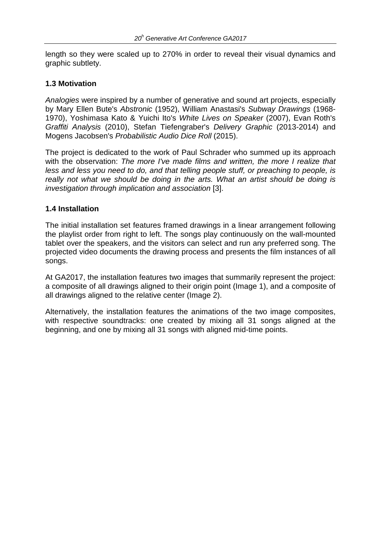length so they were scaled up to 270% in order to reveal their visual dynamics and graphic subtlety.

#### **1.3 Motivation**

*Analogies* were inspired by a number of generative and sound art projects, especially by Mary Ellen Bute's *Abstronic* (1952), William Anastasi's *Subway Drawings* (1968- 1970), Yoshimasa Kato & Yuichi Ito's *White Lives on Speaker* (2007), Evan Roth's *Graffiti Analysis* (2010), Stefan Tiefengraber's *Delivery Graphic* (2013-2014) and Mogens Jacobsen's *Probabilistic Audio Dice Roll* (2015).

The project is dedicated to the work of Paul Schrader who summed up its approach with the observation: *The more I've made films and written, the more I realize that less and less you need to do, and that telling people stuff, or preaching to people, is really not what we should be doing in the arts. What an artist should be doing is investigation through implication and association* [3].

#### **1.4 Installation**

The initial installation set features framed drawings in a linear arrangement following the playlist order from right to left. The songs play continuously on the wall-mounted tablet over the speakers, and the visitors can select and run any preferred song. The projected video documents the drawing process and presents the film instances of all songs.

At GA2017, the installation features two images that summarily represent the project: a composite of all drawings aligned to their origin point (Image 1), and a composite of all drawings aligned to the relative center (Image 2).

Alternatively, the installation features the animations of the two image composites, with respective soundtracks: one created by mixing all 31 songs aligned at the beginning, and one by mixing all 31 songs with aligned mid-time points.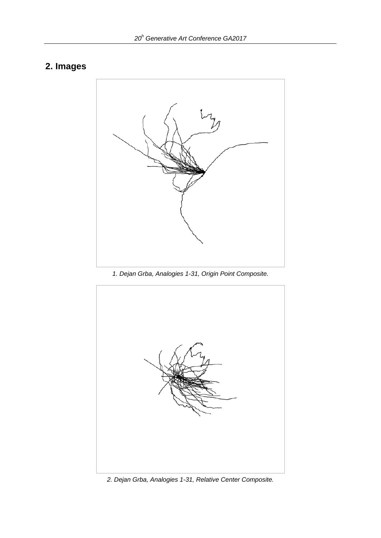# **2. Images**



*1. Dejan Grba, Analogies 1-31, Origin Point Composite.*



*2. Dejan Grba, Analogies 1-31, Relative Center Composite.*